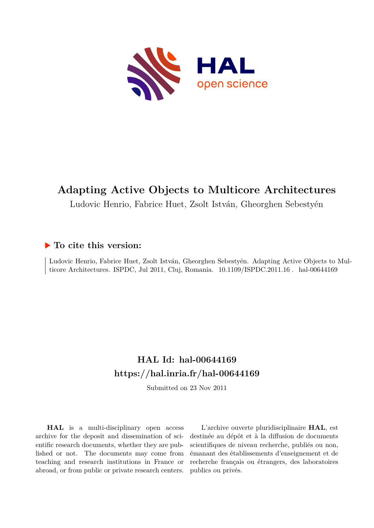

# **Adapting Active Objects to Multicore Architectures**

Ludovic Henrio, Fabrice Huet, Zsolt István, Gheorghen Sebestyén

## **To cite this version:**

Ludovic Henrio, Fabrice Huet, Zsolt István, Gheorghen Sebestyén. Adapting Active Objects to Multicore Architectures. ISPDC, Jul 2011, Cluj, Romania.  $10.1109/$ ISPDC.2011.16. hal-00644169

## **HAL Id: hal-00644169 <https://hal.inria.fr/hal-00644169>**

Submitted on 23 Nov 2011

**HAL** is a multi-disciplinary open access archive for the deposit and dissemination of scientific research documents, whether they are published or not. The documents may come from teaching and research institutions in France or abroad, or from public or private research centers.

L'archive ouverte pluridisciplinaire **HAL**, est destinée au dépôt et à la diffusion de documents scientifiques de niveau recherche, publiés ou non, émanant des établissements d'enseignement et de recherche français ou étrangers, des laboratoires publics ou privés.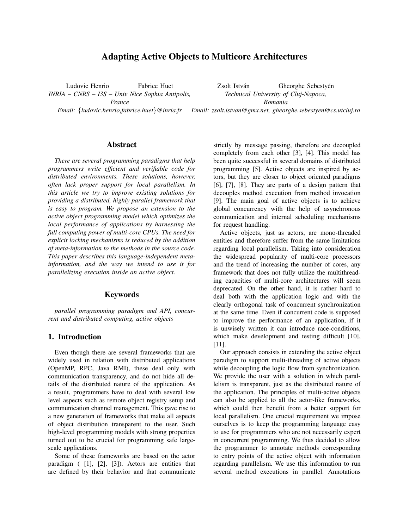## Adapting Active Objects to Multicore Architectures

Ludovic Henrio Fabrice Huet *INRIA – CNRS – I3S – Univ Nice Sophia Antipolis, France*

*Email:* {*ludovic.henrio,fabrice.huet*}*@inria.fr*

Zsolt István Gheorghe Sebestyén *Technical University of Cluj-Napoca, Romania Email: zsolt.istvan@gmx.net, gheorghe.sebestyen@cs.utcluj.ro*

## Abstract

*There are several programming paradigms that help programmers write efficient and verifiable code for distributed environments. These solutions, however, often lack proper support for local parallelism. In this article we try to improve existing solutions for providing a distributed, highly parallel framework that is easy to program. We propose an extension to the active object programming model which optimizes the local performance of applications by harnessing the full computing power of multi-core CPUs. The need for explicit locking mechanisms is reduced by the addition of meta-information to the methods in the source code. This paper describes this language-independent metainformation, and the way we intend to use it for parallelizing execution inside an active object.*

## Keywords

*parallel programming paradigm and API, concurrent and distributed computing, active objects*

## 1. Introduction

Even though there are several frameworks that are widely used in relation with distributed applications (OpenMP, RPC, Java RMI), these deal only with communication transparency, and do not hide all details of the distributed nature of the application. As a result, programmers have to deal with several low level aspects such as remote object registry setup and communication channel management. This gave rise to a new generation of frameworks that make all aspects of object distribution transparent to the user. Such high-level programming models with strong properties turned out to be crucial for programming safe largescale applications.

Some of these frameworks are based on the actor paradigm ( [1], [2], [3]). Actors are entities that are defined by their behavior and that communicate

strictly by message passing, therefore are decoupled completely from each other [3], [4]. This model has been quite successful in several domains of distributed programming [5]. Active objects are inspired by actors, but they are closer to object oriented paradigms [6], [7], [8]. They are parts of a design pattern that decouples method execution from method invocation [9]. The main goal of active objects is to achieve global concurrency with the help of asynchronous communication and internal scheduling mechanisms for request handling.

Active objects, just as actors, are mono-threaded entities and therefore suffer from the same limitations regarding local parallelism. Taking into consideration the widespread popularity of multi-core processors and the trend of increasing the number of cores, any framework that does not fully utilize the multithreading capacities of multi-core architectures will seem deprecated. On the other hand, it is rather hard to deal both with the application logic and with the clearly orthogonal task of concurrent synchronization at the same time. Even if concurrent code is supposed to improve the performance of an application, if it is unwisely written it can introduce race-conditions, which make development and testing difficult [10], [11].

Our approach consists in extending the active object paradigm to support multi-threading of active objects while decoupling the logic flow from synchronization. We provide the user with a solution in which parallelism is transparent, just as the distributed nature of the application. The principles of multi-active objects can also be applied to all the actor-like frameworks, which could then benefit from a better support for local parallelism. One crucial requirement we impose ourselves is to keep the programming language easy to use for programmers who are not necessarily expert in concurrent programming. We thus decided to allow the programmer to annotate methods corresponding to entry points of the active object with information regarding parallelism. We use this information to run several method executions in parallel. Annotations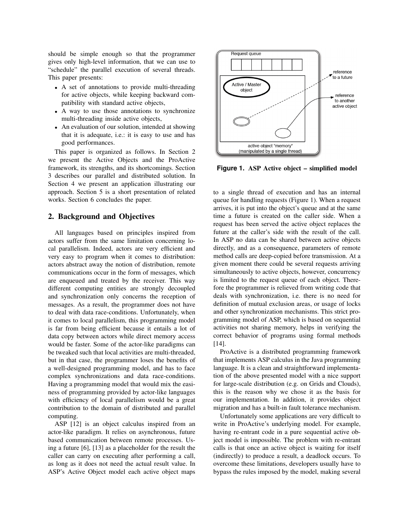should be simple enough so that the programmer gives only high-level information, that we can use to "schedule" the parallel execution of several threads. This paper presents:

- A set of annotations to provide multi-threading for active objects, while keeping backward compatibility with standard active objects,
- A way to use those annotations to synchronize multi-threading inside active objects,
- An evaluation of our solution, intended at showing that it is adequate, i.e.: it is easy to use and has good performances.

This paper is organized as follows. In Section 2 we present the Active Objects and the ProActive framework, its strengths, and its shortcomings. Section 3 describes our parallel and distributed solution. In Section 4 we present an application illustrating our approach. Section 5 is a short presentation of related works. Section 6 concludes the paper.

## 2. Background and Objectives

All languages based on principles inspired from actors suffer from the same limitation concerning local parallelism. Indeed, actors are very efficient and very easy to program when it comes to distribution: actors abstract away the notion of distribution, remote communications occur in the form of messages, which are enqueued and treated by the receiver. This way different computing entities are strongly decoupled and synchronization only concerns the reception of messages. As a result, the programmer does not have to deal with data race-conditions. Unfortunately, when it comes to local parallelism, this programming model is far from being efficient because it entails a lot of data copy between actors while direct memory access would be faster. Some of the actor-like paradigms can be tweaked such that local activities are multi-threaded, but in that case, the programmer loses the benefits of a well-designed programming model, and has to face complex synchronizations and data race-conditions. Having a programming model that would mix the easiness of programming provided by actor-like languages with efficiency of local parallelism would be a great contribution to the domain of distributed and parallel computing.

ASP [12] is an object calculus inspired from an actor-like paradigm. It relies on asynchronous, future based communication between remote processes. Using a future [6], [13] as a placeholder for the result the caller can carry on executing after performing a call, as long as it does not need the actual result value. In ASP's Active Object model each active object maps



**Figure 1.** ASP Active object – simplified model

to a single thread of execution and has an internal queue for handling requests (Figure 1). When a request arrives, it is put into the object's queue and at the same time a future is created on the caller side. When a request has been served the active object replaces the future at the caller's side with the result of the call. In ASP no data can be shared between active objects directly, and as a consequence, parameters of remote method calls are deep-copied before transmission. At a given moment there could be several requests arriving simultaneously to active objects, however, concurrency is limited to the request queue of each object. Therefore the programmer is relieved from writing code that deals with synchronization, i.e. there is no need for definition of mutual exclusion areas, or usage of locks and other synchronization mechanisms. This strict programming model of ASP, which is based on sequential activities not sharing memory, helps in verifying the correct behavior of programs using formal methods [14].

ProActive is a distributed programming framework that implements ASP calculus in the Java programming language. It is a clean and straightforward implementation of the above presented model with a nice support for large-scale distribution (e.g. on Grids and Clouds), this is the reason why we chose it as the basis for our implementation. In addition, it provides object migration and has a built-in fault tolerance mechanism.

Unfortunately some applications are very difficult to write in ProActive's underlying model. For example, having re-entrant code in a pure sequential active object model is impossible. The problem with re-entrant calls is that once an active object is waiting for itself (indirectly) to produce a result, a deadlock occurs. To overcome these limitations, developers usually have to bypass the rules imposed by the model, making several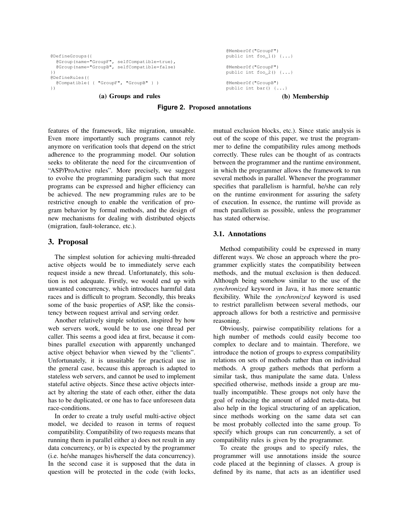```
@DefineGroups({
  @Group(name="GroupF", selfCompatible=true),
  @Group(name="GroupB", selfCompatible=false)
})
@DefineRules({
  @Compatible( { "GroupF", "GroupB" } )
})
```
(a) Groups and rules

```
@MemberOf("GroupF")
public int foo_1() \{ \ldots \}@MemberOf("GroupF")
public int foo_2() {...}
@MemberOf("GroupB")
public int bar() {...}
```
(b) Membership

#### **Figure 2.** Proposed annotations

features of the framework, like migration, unusable. Even more importantly such programs cannot rely anymore on verification tools that depend on the strict adherence to the programming model. Our solution seeks to obliterate the need for the circumvention of "ASP/ProActive rules". More precisely, we suggest to evolve the programming paradigm such that more programs can be expressed and higher efficiency can be achieved. The new programming rules are to be restrictive enough to enable the verification of program behavior by formal methods, and the design of new mechanisms for dealing with distributed objects (migration, fault-tolerance, etc.).

## 3. Proposal

The simplest solution for achieving multi-threaded active objects would be to immediately serve each request inside a new thread. Unfortunately, this solution is not adequate. Firstly, we would end up with unwanted concurrency, which introduces harmful data races and is difficult to program. Secondly, this breaks some of the basic properties of ASP, like the consistency between request arrival and serving order.

Another relatively simple solution, inspired by how web servers work, would be to use one thread per caller. This seems a good idea at first, because it combines parallel execution with apparently unchanged active object behavior when viewed by the "clients". Unfortunately, it is unsuitable for practical use in the general case, because this approach is adapted to stateless web servers, and cannot be used to implement stateful active objects. Since these active objects interact by altering the state of each other, either the data has to be duplicated, or one has to face unforeseen data race-conditions.

In order to create a truly useful multi-active object model, we decided to reason in terms of request compatibility. Compatibility of two requests means that running them in parallel either a) does not result in any data concurrency, or b) is expected by the programmer (i.e. he/she manages his/herself the data concurrency). In the second case it is supposed that the data in question will be protected in the code (with locks,

mutual exclusion blocks, etc.). Since static analysis is out of the scope of this paper, we trust the programmer to define the compatibility rules among methods correctly. These rules can be thought of as contracts between the programmer and the runtime environment, in which the programmer allows the framework to run several methods in parallel. Whenever the programmer specifies that parallelism is harmful, he/she can rely on the runtime environment for assuring the safety of execution. In essence, the runtime will provide as much parallelism as possible, unless the programmer has stated otherwise.

## 3.1. Annotations

Method compatibility could be expressed in many different ways. We chose an approach where the programmer explicitly states the compatibility between methods, and the mutual exclusion is then deduced. Although being somehow similar to the use of the *synchronized* keyword in Java, it has more semantic flexibility. While the *synchronized* keyword is used to restrict parallelism between several methods, our approach allows for both a restrictive and permissive reasoning.

Obviously, pairwise compatibility relations for a high number of methods could easily become too complex to declare and to maintain. Therefore, we introduce the notion of groups to express compatibility relations on sets of methods rather than on individual methods. A group gathers methods that perform a similar task, thus manipulate the same data. Unless specified otherwise, methods inside a group are mutually incompatible. These groups not only have the goal of reducing the amount of added meta-data, but also help in the logical structuring of an application, since methods working on the same data set can be most probably collected into the same group. To specify which groups can run concurrently, a set of compatibility rules is given by the programmer.

To create the groups and to specify rules, the programmer will use annotations inside the source code placed at the beginning of classes. A group is defined by its name, that acts as an identifier used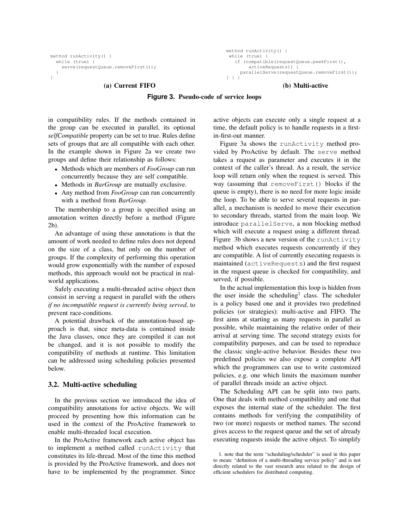```
method runActivity() {
  while (true) {
   serve(requestQueue.removeFirst());
  }
}
```

```
method runActivity() {
 while (true) {
   if (compatible(requestQueue.peekFirst(),
        activeRequests)) {
     parallelServe(requestQueue.removeFirst());
} } }
```
#### (b) Multi-active

#### **Figure 3.** Pseudo-code of service loops

in compatibility rules. If the methods contained in the group can be executed in parallel, its optional *selfCompatible* property can be set to true. Rules define sets of groups that are all compatible with each other. In the example shown in Figure 2a we create two groups and define their relationship as follows:

(a) Current FIFO

- Methods which are members of *FooGroup* can run concurrently because they are self compatible.
- Methods in *BarGroup* are mutually exclusive.
- Any method from *FooGroup* can run concurrently with a method from *BarGroup*.

The membership to a group is specified using an annotation written directly before a method (Figure 2b).

An advantage of using these annotations is that the amount of work needed to define rules does not depend on the size of a class, but only on the number of groups. If the complexity of performing this operation would grow exponentially with the number of exposed methods, this approach would not be practical in realworld applications.

Safely executing a multi-threaded active object then consist in serving a request in parallel with the others *if no incompatible request is currently being served*, to prevent race-conditions.

A potential drawback of the annotation-based approach is that, since meta-data is contained inside the Java classes, once they are compiled it can not be changed, and it is not possible to modify the compatibility of methods at runtime. This limitation can be addressed using scheduling policies presented below.

## 3.2. Multi-active scheduling

In the previous section we introduced the idea of compatibility annotations for active objects. We will proceed by presenting how this information can be used in the context of the ProActive framework to enable multi-threaded local execution.

In the ProActive framework each active object has to implement a method called runActivity that constitutes its life-thread. Most of the time this method is provided by the ProActive framework, and does not have to be implemented by the programmer. Since

active objects can execute only a single request at a time, the default policy is to handle requests in a firstin-first-out manner.

Figure 3a shows the runActivity method provided by ProActive by default. The serve method takes a request as parameter and executes it in the context of the caller's thread. As a result, the service loop will return only when the request is served. This way (assuming that removeFirst() blocks if the queue is empty), there is no need for more logic inside the loop. To be able to serve several requests in parallel, a mechanism is needed to move their execution to secondary threads, started from the main loop. We introduce parallelServe, a non blocking method which will execute a request using a different thread. Figure 3b shows a new version of the runActivity method which executes requests concurrently if they are compatible. A list of currently executing requests is maintained (activeRequests) and the first request in the request queue is checked for compatibility, and served, if possible.

In the actual implementation this loop is hidden from the user inside the scheduling<sup>1</sup> class. The scheduler is a policy based one and it provides two predefined policies (or strategies): multi-active and FIFO. The first aims at starting as many requests in parallel as possible, while maintaining the relative order of their arrival at serving time. The second strategy exists for compatibility purposes, and can be used to reproduce the classic single-active behavior. Besides these two predefined policies we also expose a complete API which the programmers can use to write customized policies, e.g. one which limits the maximum number of parallel threads inside an active object.

The Scheduling API can be split into two parts. One that deals with method compatibility and one that exposes the internal state of the scheduler. The first contains methods for verifying the compatibility of two (or more) requests or method names. The second gives access to the request queue and the set of already executing requests inside the active object. To simplify

<sup>1.</sup> note that the term "scheduling/scheduler" is used in this paper to mean: "definition of a multi-threading service policy" and is not directly related to the vast research area related to the design of efficient schedulers for distributed computing.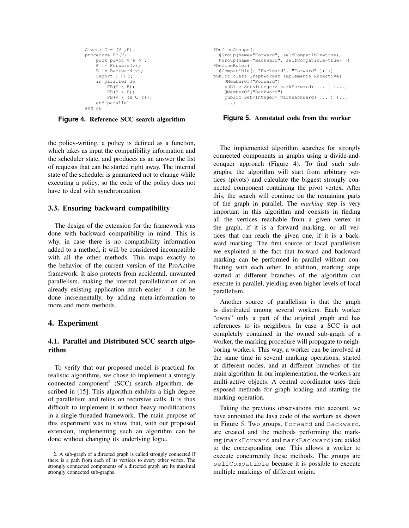```
Given: G = (V, E).
procedure FB(V)
    pick pivot v ∈ V ;
    F := Forward(v);
    B := Backward(v);
    report F ∩ B;
    in parallel do
         FB(F \setminus B);
         F B (B \setminus F);FB(V \setminus (B \cup F));
    end parallel
end FB
```
### **Figure 4.** Reference SCC search algorithm

the policy-writing, a policy is defined as a function, which takes as input the compatibility information and the scheduler state, and produces as an answer the list of requests that can be started right away. The internal state of the scheduler is guaranteed not to change while executing a policy, so the code of the policy does not have to deal with synchronization.

## 3.3. Ensuring backward compatibility

The design of the extension for the framework was done with backward compatibility in mind. This is why, in case there is no compatibility information added to a method, it will be considered incompatible with all the other methods. This maps exactly to the behavior of the current version of the ProActive framework. It also protects from accidental, unwanted parallelism, making the internal parallelization of an already existing application much easier – it can be done incrementally, by adding meta-information to more and more methods.

## 4. Experiment

## 4.1. Parallel and Distributed SCC search algorithm

To verify that our proposed model is practical for realistic algorithms, we chose to implement a strongly connected component<sup>2</sup> (SCC) search algorithm, described in [15]. This algorithm exhibits a high degree of parallelism and relies on recursive calls. It is thus difficult to implement it without heavy modifications in a single-threaded framework. The main purpose of this experiment was to show that, with our proposed extension, implementing such an algorithm can be done without changing its underlying logic.

```
@DefineGroups({
  @Group(name="Forward", selfCompatible=true),<br>@Group(name="Backward", selfCompatible=true) })
@DefineRules({
  @Compatible({ "Backward", "Forward" }) })
public class GraphWorker implements RunActive{
    @MemberOf("Forward")
    public Set<Integer> markForward( ... ) {...}
     @MemberOf("Backward")
    public Set<Integer> markBackward( ... ) {...}
     ...}
```
#### **Figure 5.** Annotated code from the worker

The implemented algorithm searches for strongly connected components in graphs using a divide-andconquer approach (Figure 4). To find such subgraphs, the algorithm will start from arbitrary vertices (pivots) and calculate the biggest strongly connected component containing the pivot vertex. After this, the search will continue on the remaining parts of the graph in parallel. The *marking* step is very important in this algorithm and consists in finding all the vertices reachable from a given vertex in the graph, if it is a forward marking, or all vertices that can reach the given one, if it is a backward marking. The first source of local parallelism we exploited is the fact that forward and backward marking can be performed in parallel without conflicting with each other. In addition, marking steps started at different branches of the algorithm can execute in parallel, yielding even higher levels of local parallelism.

Another source of parallelism is that the graph is distributed among several workers. Each worker "owns" only a part of the original graph and has references to its neighbors. In case a SCC is not completely contained in the owned sub-graph of a worker, the marking procedure will propagate to neighboring workers. This way, a worker can be involved at the same time in several marking operations, started at different nodes, and at different branches of the main algorithm. In our implementation, the workers are multi-active objects. A central coordinator uses their exposed methods for graph loading and starting the marking operation.

Taking the previous observations into account, we have annotated the Java code of the workers as shown in Figure 5. Two groups, Forward and Backward, are created and the methods performing the marking (markForward and markBackward) are added to the corresponding one. This allows a worker to execute concurrently these methods. The groups are selfCompatible because it is possible to execute multiple markings of different origin.

<sup>2.</sup> A sub-graph of a directed graph is called strongly connected if there is a path from each of its vertices to every other vertex. The strongly connected components of a directed graph are its maximal strongly connected sub-graphs.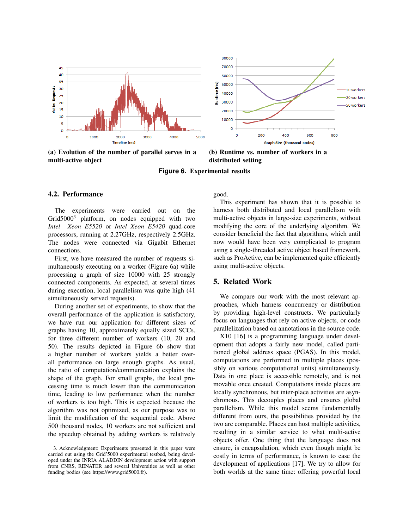

(a) Evolution of the number of parallel serves in a multi-active object

(b) Runtime vs. number of workers in a distributed setting

**Figure 6.** Experimental results

## 4.2. Performance

The experiments were carried out on the Grid5000<sup>3</sup> platform, on nodes equipped with two *Intel Xeon E5520* or *Intel Xeon E5420* quad-core processors, running at 2.27GHz, respectively 2.5GHz. The nodes were connected via Gigabit Ethernet connections.

First, we have measured the number of requests simultaneously executing on a worker (Figure 6a) while processing a graph of size 10000 with 25 strongly connected components. As expected, at several times during execution, local parallelism was quite high (41 simultaneously served requests).

During another set of experiments, to show that the overall performance of the application is satisfactory, we have run our application for different sizes of graphs having 10, approximately equally sized SCCs, for three different number of workers (10, 20 and 50). The results depicted in Figure 6b show that a higher number of workers yields a better overall performance on large enough graphs. As usual, the ratio of computation/communication explains the shape of the graph. For small graphs, the local processing time is much lower than the communication time, leading to low performance when the number of workers is too high. This is expected because the algorithm was not optimized, as our purpose was to limit the modification of the sequential code. Above 500 thousand nodes, 10 workers are not sufficient and the speedup obtained by adding workers is relatively

good.

This experiment has shown that it is possible to harness both distributed and local parallelism with multi-active objects in large-size experiments, without modifying the core of the underlying algorithm. We consider beneficial the fact that algorithms, which until now would have been very complicated to program using a single-threaded active object based framework, such as ProActive, can be implemented quite efficiently using multi-active objects.

## 5. Related Work

We compare our work with the most relevant approaches, which harness concurrency or distribution by providing high-level constructs. We particularly focus on languages that rely on active objects, or code parallelization based on annotations in the source code.

X10 [16] is a programming language under development that adopts a fairly new model, called partitioned global address space (PGAS). In this model, computations are performed in multiple places (possibly on various computational units) simultaneously. Data in one place is accessible remotely, and is not movable once created. Computations inside places are locally synchronous, but inter-place activities are asynchronous. This decouples places and ensures global parallelism. While this model seems fundamentally different from ours, the possibilities provided by the two are comparable. Places can host multiple activities, resulting in a similar service to what multi-active objects offer. One thing that the language does not ensure, is encapsulation, which even though might be costly in terms of performance, is known to ease the development of applications [17]. We try to allow for both worlds at the same time: offering powerful local

<sup>3.</sup> Acknowledgment: Experiments presented in this paper were carried out using the Grid'5000 experimental testbed, being developed under the INRIA ALADDIN development action with support from CNRS, RENATER and several Universities as well as other funding bodies (see https://www.grid5000.fr).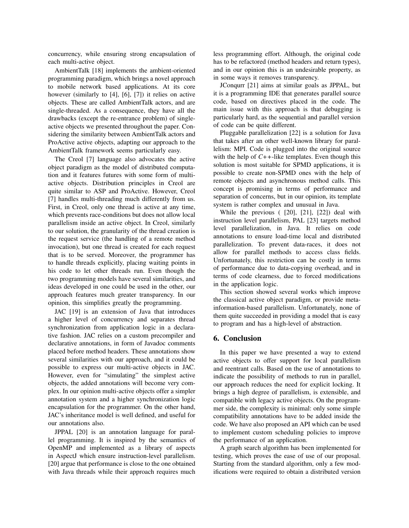concurrency, while ensuring strong encapsulation of each multi-active object.

AmbientTalk [18] implements the ambient-oriented programming paradigm, which brings a novel approach to mobile network based applications. At its core however (similarly to [4], [6], [7]) it relies on active objects. These are called AmbientTalk actors, and are single-threaded. As a consequence, they have all the drawbacks (except the re-entrance problem) of singleactive objects we presented throughout the paper. Considering the similarity between AmbientTalk actors and ProActive active objects, adapting our approach to the AmbientTalk framework seems particularly easy.

The Creol [7] language also advocates the active object paradigm as the model of distributed computation and it features futures with some form of multiactive objects. Distribution principles in Creol are quite similar to ASP and ProActive. However, Creol [7] handles multi-threading much differently from us. First, in Creol, only one thread is active at any time, which prevents race-conditions but does not allow local parallelism inside an active object. In Creol, similarly to our solution, the granularity of the thread creation is the request service (the handling of a remote method invocation), but one thread is created for each request that is to be served. Moreover, the programmer has to handle threads explicitly, placing waiting points in his code to let other threads run. Even though the two programming models have several similarities, and ideas developed in one could be used in the other, our approach features much greater transparency. In our opinion, this simplifies greatly the programming.

JAC [19] is an extension of Java that introduces a higher level of concurrency and separates thread synchronization from application logic in a declarative fashion. JAC relies on a custom precompiler and declarative annotations, in form of Javadoc comments placed before method headers. These annotations show several similarities with our approach, and it could be possible to express our multi-active objects in JAC. However, even for "simulating" the simplest active objects, the added annotations will become very complex. In our opinion multi-active objects offer a simpler annotation system and a higher synchronization logic encapsulation for the programmer. On the other hand, JAC's inheritance model is well defined, and useful for our annotations also.

JPPAL [20] is an annotation language for parallel programming. It is inspired by the semantics of OpenMP and implemented as a library of aspects in AspectJ which ensure instruction-level parallelism. [20] argue that performance is close to the one obtained with Java threads while their approach requires much

less programming effort. Although, the original code has to be refactored (method headers and return types), and in our opinion this is an undesirable property, as in some ways it removes transparency.

JConqurr [21] aims at similar goals as JPPAL, but it is a programming IDE that generates parallel source code, based on directives placed in the code. The main issue with this approach is that debugging is particularly hard, as the sequential and parallel version of code can be quite different.

Pluggable parallelization [22] is a solution for Java that takes after an other well-known library for parallelism: MPI. Code is plugged into the original source with the help of *C++*-like templates. Even though this solution is most suitable for SPMD applications, it is possible to create non-SPMD ones with the help of remote objects and asynchronous method calls. This concept is promising in terms of performance and separation of concerns, but in our opinion, its template system is rather complex and unusual in Java.

While the previous ( [20], [21], [22]) deal with instruction level parallelism, PAL [23] targets method level parallelization, in Java. It relies on code annotations to ensure load-time local and distributed parallelization. To prevent data-races, it does not allow for parallel methods to access class fields. Unfortunately, this restriction can be costly in terms of performance due to data-copying overhead, and in terms of code clearness, due to forced modifications in the application logic.

This section showed several works which improve the classical active object paradigm, or provide metainformation-based parallelism. Unfortunately, none of them quite succeeded in providing a model that is easy to program and has a high-level of abstraction.

## 6. Conclusion

In this paper we have presented a way to extend active objects to offer support for local parallelism and reentrant calls. Based on the use of annotations to indicate the possibility of methods to run in parallel, our approach reduces the need for explicit locking. It brings a high degree of parallelism, is extensible, and compatible with legacy active objects. On the programmer side, the complexity is minimal: only some simple compatibility annotations have to be added inside the code. We have also proposed an API which can be used to implement custom scheduling policies to improve the performance of an application.

A graph search algorithm has been implemented for testing, which proves the ease of use of our proposal. Starting from the standard algorithm, only a few modifications were required to obtain a distributed version